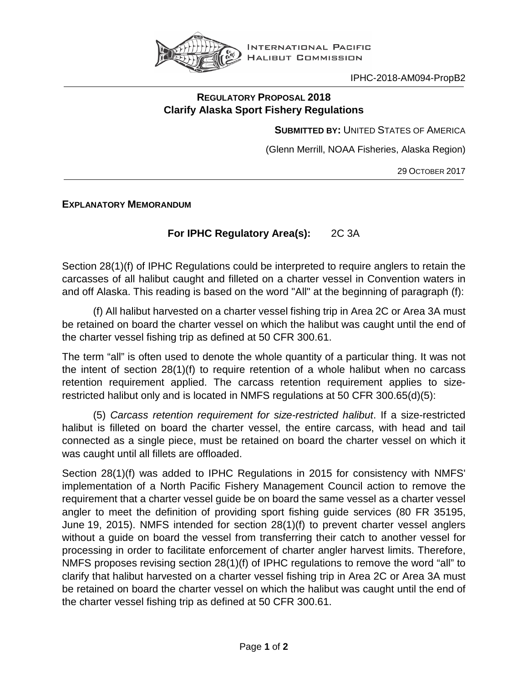

IPHC-2018-AM094-PropB2

## **REGULATORY PROPOSAL 2018 Clarify Alaska Sport Fishery Regulations**

**SUBMITTED BY:** UNITED STATES OF AMERICA

(Glenn Merrill, NOAA Fisheries, Alaska Region)

29 OCTOBER 2017

**EXPLANATORY MEMORANDUM**

## For IPHC Regulatory Area(s): 2C 3A

Section 28(1)(f) of IPHC Regulations could be interpreted to require anglers to retain the carcasses of all halibut caught and filleted on a charter vessel in Convention waters in and off Alaska. This reading is based on the word "All" at the beginning of paragraph (f):

(f) All halibut harvested on a charter vessel fishing trip in Area 2C or Area 3A must be retained on board the charter vessel on which the halibut was caught until the end of the charter vessel fishing trip as defined at 50 CFR 300.61.

The term "all" is often used to denote the whole quantity of a particular thing. It was not the intent of section 28(1)(f) to require retention of a whole halibut when no carcass retention requirement applied. The carcass retention requirement applies to sizerestricted halibut only and is located in NMFS regulations at 50 CFR 300.65(d)(5):

(5) *Carcass retention requirement for size-restricted halibut*. If a size-restricted halibut is filleted on board the charter vessel, the entire carcass, with head and tail connected as a single piece, must be retained on board the charter vessel on which it was caught until all fillets are offloaded.

Section 28(1)(f) was added to IPHC Regulations in 2015 for consistency with NMFS' implementation of a North Pacific Fishery Management Council action to remove the requirement that a charter vessel guide be on board the same vessel as a charter vessel angler to meet the definition of providing sport fishing guide services (80 FR 35195, June 19, 2015). NMFS intended for section 28(1)(f) to prevent charter vessel anglers without a guide on board the vessel from transferring their catch to another vessel for processing in order to facilitate enforcement of charter angler harvest limits. Therefore, NMFS proposes revising section 28(1)(f) of IPHC regulations to remove the word "all" to clarify that halibut harvested on a charter vessel fishing trip in Area 2C or Area 3A must be retained on board the charter vessel on which the halibut was caught until the end of the charter vessel fishing trip as defined at 50 CFR 300.61.